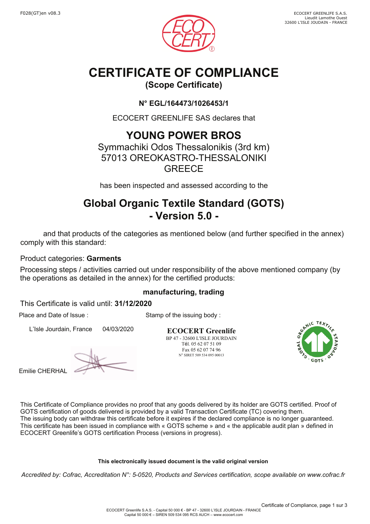



# **CERTIFICATE OF COMPLIANCE**

## **(Scope Certificate)**

### **N° EGL/164473/1026453/1**

ECOCERT GREENLIFE SAS declares that

## **YOUNG POWER BROS**

Symmachiki Odos Thessalonikis (3rd km) 57013 OREOKASTRO-THESSALONIKI **GREECF** 

has been inspected and assessed according to the

## **Global Organic Textile Standard (GOTS) - Version 5.0 -**

 and that products of the categories as mentioned below (and further specified in the annex) comply with this standard:

Product categories: **Garments**

Processing steps / activities carried out under responsibility of the above mentioned company (by the operations as detailed in the annex) for the certified products:

### **manufacturing, trading**

Stamp of the issuing body :

This Certificate is valid until: **31/12/2020**

Place and Date of Issue :

L'Isle Jourdain, France 04/03/2020

Emilie CHERHAL

**ECOCERT Greenlife** BP 47 - 32600 L'ISLE JOURDAIN Tél. 05 62 07 51 09 Fax 05 62 07 74 96 N° SIRET 509 534 095 00013



This Certificate of Compliance provides no proof that any goods delivered by its holder are GOTS certified. Proof of GOTS certification of goods delivered is provided by a valid Transaction Certificate (TC) covering them. The issuing body can withdraw this certificate before it expires if the declared compliance is no longer guaranteed. This certificate has been issued in compliance with « GOTS scheme » and « the applicable audit plan » defined in ECOCERT Greenlife's GOTS certification Process (versions in progress).

### **This electronically issued document is the valid original version**

*Accredited by: Cofrac, Accreditation N°: 5-0520, Products and Services certification, scope available on www.cofrac.fr*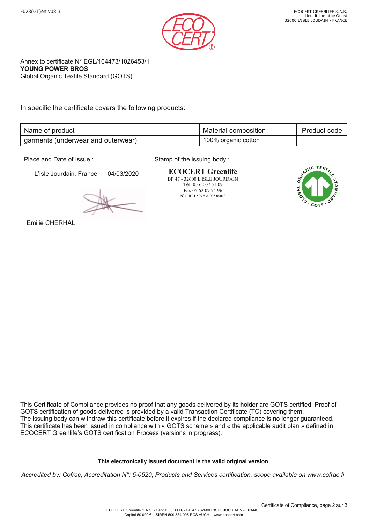

Annex to certificate N° EGL/164473/1026453/1 **YOUNG POWER BROS** Global Organic Textile Standard (GOTS)

In specific the certificate covers the following products:

| Name of product                    | Material composition | Product code |
|------------------------------------|----------------------|--------------|
| garments (underwear and outerwear) | 100% organic cotton  |              |

Place and Date of Issue :

L'Isle Jourdain, France 04/03/2020

Stamp of the issuing body :

**ECOCERT Greenlife** BP 47 - 32600 L'ISLE JOURDAIN Tél. 05 62 07 51 09 Fax 05 62 07 74 96 N° SIRET 509 534 095 00013



Emilie CHERHAL

This Certificate of Compliance provides no proof that any goods delivered by its holder are GOTS certified. Proof of GOTS certification of goods delivered is provided by a valid Transaction Certificate (TC) covering them. The issuing body can withdraw this certificate before it expires if the declared compliance is no longer guaranteed. This certificate has been issued in compliance with « GOTS scheme » and « the applicable audit plan » defined in ECOCERT Greenlife's GOTS certification Process (versions in progress).

#### **This electronically issued document is the valid original version**

*Accredited by: Cofrac, Accreditation N°: 5-0520, Products and Services certification, scope available on www.cofrac.fr*